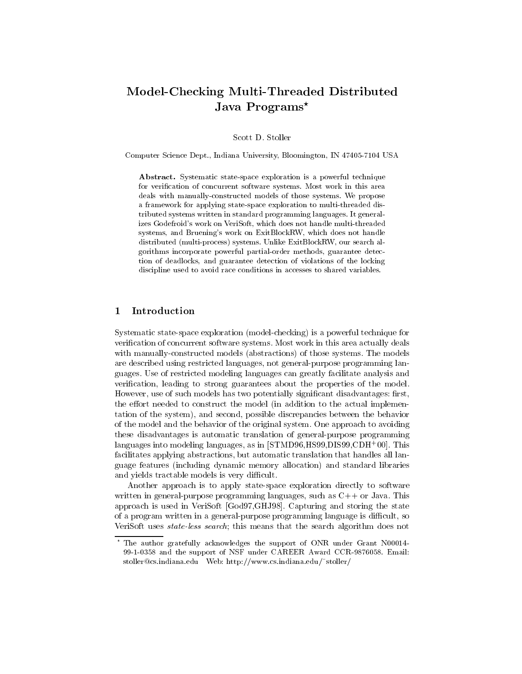# Model-Checking Multi-Threaded Distributed Java Programs\*

Scott D. Stoller

Computer Science Dept., Indiana University, Bloomington, IN 47405-7104 USA

Abstract. Systematic state-space exploration is a powerful technique for verification of concurrent software systems. Most work in this area deals with manually-constructed models of those systems. We propose a framework for applying state-space exploration to multi-threaded distributed systems written in standard programming languages. It generalizes Godefroid's work on VeriSoft, which does not handle multi-threaded systems, and Bruening's work on ExitBlockRW, which does not handle distributed (multi-process) systems. Unlike ExitBlockRW, our search algorithms incorporate powerful partial-order methods, guarantee detection of deadlocks, and guarantee detection of violations of the locking discipline used to avoid race conditions in accesses to shared variables.

#### 1Introduction

Systematic state-space exploration (model-checking) is a powerful technique for verification of concurrent software systems. Most work in this area actually deals with manually-constructed models (abstractions) of those systems. The models are described using restricted languages, not general-purpose programming languages. Use of restricted modeling languages can greatly facilitate analysis and verification, leading to strong guarantees about the properties of the model. However, use of such models has two potentially significant disadvantages: first, the effort needed to construct the model (in addition to the actual implementation of the system), and second, possible discrepancies between the behavior of the model and the behavior of the original system. One approach to avoiding these disadvantages is automatic translation of general-purpose programming  $\alpha$ languages into modeling languages, as in [STMD90, hS99, DIS99, CDH+00]. This facilitates applying abstractions, but automatic translation that handles all language features (including dynamic memory allocation) and standard libraries and yields tractable models is very difficult.

Another approach is to apply state-space exploration directly to software written in general-purpose programming languages, such as  $C++$  or Java. This approach is used in VeriSoft [God97,GHJ98]. Capturing and storing the state of a program written in a general-purpose programming language is difficult, so VeriSoft uses state-less search; this means that the search algorithm does not

<sup>?</sup> The author gratefully acknowledges the support of ONR under Grant N00014- 99-1-0358 and the support of NSF under CAREER Award CCR-9876058. Email: stoller@cs.indiana.edu Web: http://www.cs.indiana.edu/~stoller/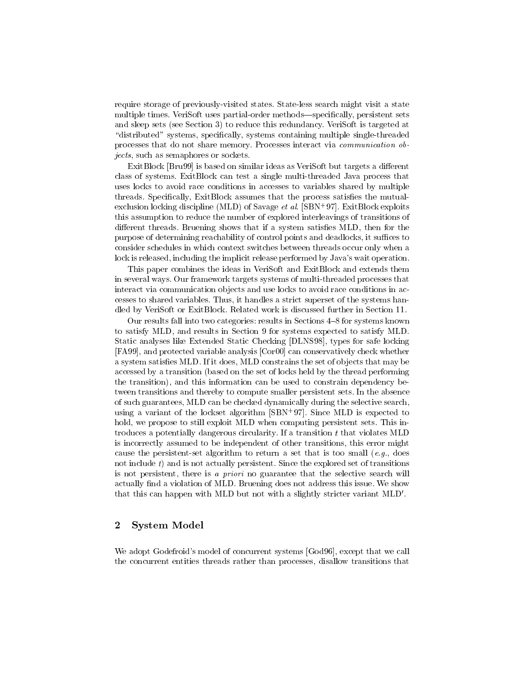require storage of previously-visited states. State-less search might visit a state multiple times. VeriSoft uses partial-order methods—specifically, persistent sets and sleep sets (see Section 3) to reduce this redundancy. VeriSoft is targeted at "distributed" systems, specifically, systems containing multiple single-threaded processes that do not share memory. Processes interact via communication objects, such as semaphores or sockets.

ExitBlock [Bru99] is based on similar ideas as VeriSoft but targets a different class of systems. ExitBlock can test a single multi-threaded Java process that uses locks to avoid race conditions in accesses to variables shared by multiple threads. Specifically, ExitBlock assumes that the process satisfies the mutualexclusion locking discipline (MLD) of Savage et al. [SBN+ 97]. ExitBlock exploits this assumption to reduce the number of explored interleavings of transitions of different threads. Bruening shows that if a system satisfies MLD, then for the purpose of determining reachability of control points and deadlocks, it suffices to consider schedules in which context switches between threads occur only when a lock is released, including the implicit release performed by Java's wait operation.

This paper combines the ideas in VeriSoft and ExitBlock and extends them in several ways. Our framework targets systems of multi-threaded processes that interact via communication ob jects and use locks to avoid race conditions in accesses to shared variables. Thus, it handles a strict superset of the systems handled by VeriSoft or ExitBlock. Related work is discussed further in Section 11.

Our results fall into two categories: results in Sections 4–8 for systems known to satisfy MLD, and results in Section 9 for systems expected to satisfy MLD. Static analyses like Extended Static Checking [DLNS98], types for safe locking [FA99], and protected variable analysis [Cor00] can conservatively check whether a system satisfies MLD. If it does, MLD constrains the set of objects that may be accessed by a transition (based on the set of locks held by the thread performing the transition), and this information can be used to constrain dependency between transitions and thereby to compute smaller persistent sets. In the absence of such guarantees, MLD can be checked dynamically during the selective search, using a variant of the lockset algorithm [SBN+ 97]. Since MLD is expected to hold, we propose to still exploit MLD when computing persistent sets. This introduces a potentially dangerous circularity. If a transition  $t$  that violates MLD is incorrectly assumed to be independent of other transitions, this error might cause the persistent-set algorithm to return a set that is too small  $(e.g.,$  does not include  $t$ ) and is not actually persistent. Since the explored set of transitions is not persistent, there is a *priori* no guarantee that the selective search will actually find a violation of MLD. Bruening does not address this issue. We show that this can happen with MLD but not with a slightly stricter variant MLD'.

### System Model

We adopt Godefroid's model of concurrent systems [God96], except that we call the concurrent entities threads rather than processes, disallow transitions that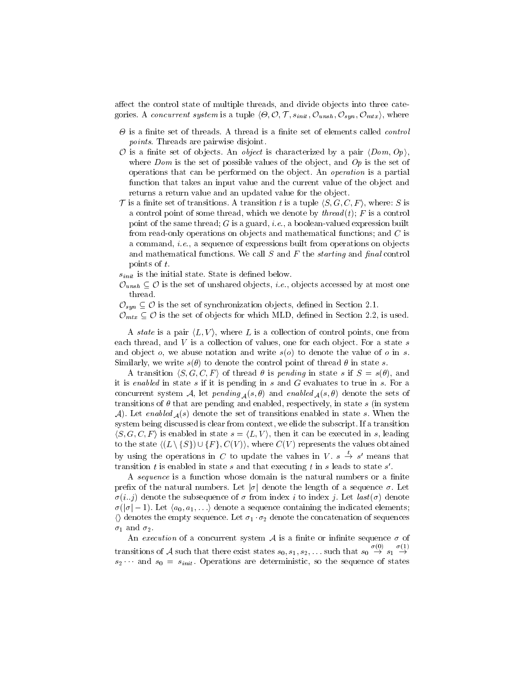affect the control state of multiple threads, and divide objects into three cate- $\mathcal{S}_{\text{out}}$  ,  $\mathcal{T}_{\text{out}}$  ,  $\mathcal{T}_{\text{out}}$  is a tuple  $\{ \mathcal{O}, \mathcal{O}, \mathcal{O}, \mathcal{O}\}$  ,  $\mathcal{T}_{\text{out}}$  ,  $\mathcal{T}_{\text{out}}$  ,  $\mathcal{T}_{\text{out}}$  , where

- points. Threads are pairwise disjoint.
- $\mathcal O$  is a finite set of objects. An *object* is characterized by a pair  $\langle Dom, Op \rangle$ , where Dom is the set of possible values of the object, and  $Op$  is the set of operations that can be performed on the ob ject. An operation is a partial function that takes an input value and the current value of the object and returns a return value and an updated value for the object.
- $\mathcal T$  is a finite set of transitions. A transition t is a tuple  $\langle S, G, C, F \rangle$ , where: S is a control point of some thread, which we denote by  $thread(t); F$  is a control point of the same thread;  $G$  is a guard, *i.e.*, a boolean-valued expression built from read-only operations on ob jects and mathematical functions; and <sup>C</sup> is a command, *i.e.*, a sequence of expressions built from operations on objects and mathematical functions. We call  $S$  and  $F$  the *starting* and final control points of t.

 $s_{i}$  is the initial state is defined by the initial state is defined by  $s$ 

 $\bullet$  in an  $\bullet$  is the set of understand observed by at  $j$  and  $j$  are defined by at most one one one one one one one one of  $j$ thread.

Osyn O is the set of synchronization ob jects, dened in Section 2.1.

 $\bullet$  mass  $\bullet$  is the set of observed in Section 2.2, is used. In Section 2.2, is used. In Section 2.2, is used.

A state is a pair  $\langle L, V \rangle$ , where L is a collection of control points, one from each thread, and  $V$  is a collection of values, one for each object. For a state  $s$ and object  $o$ , we abuse notation and write  $s(o)$  to denote the value of  $o$  in s. Similarly, we write  $s(\theta)$  to denote the control point of thread  $\theta$  in state s.

A transition  $\langle S, G, C, F \rangle$  of thread  $\theta$  is pending in state s if  $S = s(\theta)$ , and it is enabled in state <sup>s</sup> if it is pending in <sup>s</sup> and <sup>G</sup> evaluates to true in s. For a concurrent system A, let pending  $_A(s, \theta)$  and enabled  $_A(s, \theta)$  denote the sets of transitions of  $\theta$  that are pending and enabled, respectively, in state s (in system  $\bullet$   $\bullet$   $\prime$  . Let encode  $\bullet$   $\bullet$   $\bullet$  the set of the set of transitions enabled in state s. When the state s. When the s. When the s. When the s. When the set of the set of the set of the set of the set of the set of system being discussed is clear from context, we elide the subscript. If a transition  $\langle S, G, C, F \rangle$  is enabled in state  $s = \langle L, V \rangle$ , then it can be executed in s, leading to the state  $\langle (L \setminus \{S\}) \cup \{F\}, C(V) \rangle$ , where  $C(V)$  represents the values obtained by using the operations in C to update the values in V  $s \rightarrow s'$  means that transition  $t$  is enabled in state  $s$  and that executing  $t$  in  $s$  reads to state  $s$  .

A sequence is a function whose domain is the natural numbers or a finite prefix of the natural numbers. Let  $|\sigma|$  denote the length of a sequence  $\sigma$ . Let  $\sigma(i..j)$  denote the subsequence of  $\sigma$  from index i to index j. Let last( $\sigma$ ) denote  $\sigma(|\sigma| - 1)$ . Let  $\langle a_0, a_1, \ldots \rangle$  denote a sequence containing the indicated elements;  $\langle \rangle$  denotes the empty sequence. Let  $\sigma_1 \cdot \sigma_2$  denote the concatenation of sequences  $\sigma_1$  and  $\sigma_2$ .

An execution of a concurrent system  $A$  is a finite or infinite sequence  $\sigma$  of transitions of A such that there exist states  $s_0, s_1, s_2,...$  such that  $s_0 \stackrel{\sigma(0)}{\rightarrow} s_1 \stackrel{\sigma(1)}{\rightarrow}$  $s_2 \cdots$  and  $s_0 = s_{\text{init}}$ . Operations are deterministic, so the sequence of states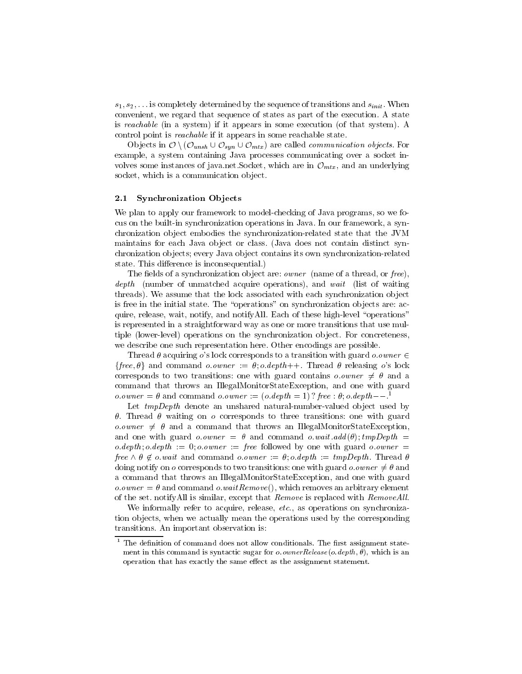$s_1, s_2, \ldots$  is completely determined by the sequence of transitions and  $s_{init}$ . When convenient, we regard that sequence of states as part of the execution. A state is reachable (in a system) if it appears in some execution (of that system). A control point is reachable if it appears in some reachable state.

Ob jects in O n (Ounsh [ Osyn [ Omtx ) are called communication objects. For example, a system containing Java processes communicating over a socket in volves some instances of java.net.socket, which are in Omto ,  $\mu_{b,b,t}$  , and an underlying socket, which is a communication ob ject.

#### 2.1Synchronization Objects

We plan to apply our framework to model-checking of Java programs, so we focus on the built-in synchronization operations in Java. In our framework, a synchronization ob ject embodies the synchronization-related state that the JVM maintains for each Java object or class. (Java does not contain distinct synchronization ob jects; every Java ob ject contains its own synchronization-related state. This difference is inconsequential.)

The fields of a synchronization object are: *owner* (name of a thread, or free), depth (number of unmatched acquire operations), and wait (list of waiting threads). We assume that the lock associated with each synchronization ob ject is free in the initial state. The "operations" on synchronization objects are: acquire, release, wait, notify, and notifyAll. Each of these high-level "operations" is represented in a straightforward way as one or more transitions that use multiple (lower-level) operations on the synchronization ob ject. For concreteness, we describe one such representation here. Other encodings are possible.

Thread  $\theta$  acquiring o's lock corresponds to a transition with guard o.owner  $\in$ {free,  $\theta$ } and command *o.owner* :=  $\theta$ ; *o.depth*++. Thread  $\theta$  releasing *o*'s lock corresponds to two transitions: one with guard contains o. owner  $\neq \theta$  and a command that throws an IllegalMonitorStateException, and one with guard o.owner =  $\theta$  and command o.owner := (o.depth = 1)? free :  $\theta$ ; o.depth--1

Let  $tmpDepth$  denote an unshared natural-number-valued object used by  $\theta$ . Thread  $\theta$  waiting on  $o$  corresponds to three transitions: one with guard o.owner  $\neq \theta$  and a command that throws an IllegalMonitorStateException, and one with guard o.owner =  $\theta$  and command o.wait.add( $\theta$ ); tmpDepth = o.depth; o.depth := 0; o.owner := free followed by one with guard o.owner = free  $\wedge \theta \notin o$  wait and command o.owner  $:= \theta$ ; o.depth  $:=$  tmpDepth. Thread  $\theta$ doing notify on o corresponds to two transitions: one with guard o.owner  $\neq \theta$  and a command that throws an IllegalMonitorStateException, and one with guard o. owner  $= \theta$  and command o. wait  $Remove(),$  which removes an arbitrary element of the set. notifyAll is similar, except that *Remove* is replaced with *RemoveAll*.

We informally refer to acquire, release, etc., as operations on synchronization ob jects, when we actually mean the operations used by the corresponding transitions. An important observation is:

<sup>1</sup> The denition of command does not allow conditionals. The rst assignment state ment in this command is syntactic sugar for *o.ownerRelease* (*o.depth,*  $\theta$ ), which is an operation that has exactly the same effect as the assignment statement.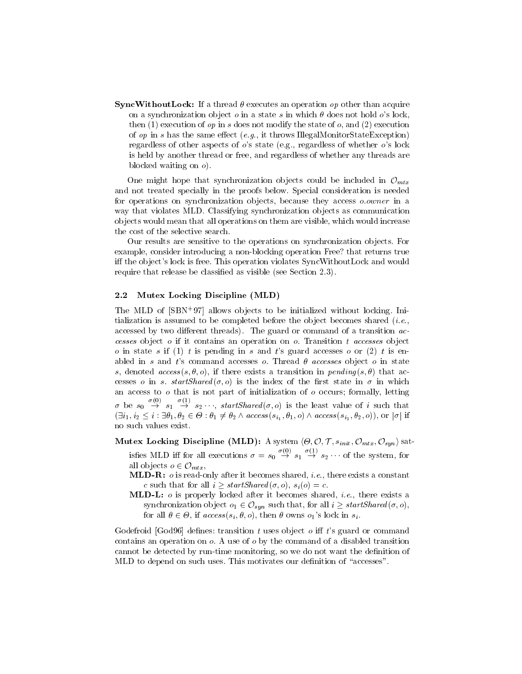$S$ yncwithoutloch: If a thread  $S$  thread  $S$  and the thread  $S$  of the second than acquire on a synchronization object  $o$  in a state s in which  $\theta$  does not hold  $o$ 's lock, then (1) execution of *op* in s does not modify the state of  $o$ , and (2) execution of  $op$  in s has the same effect (e.g., it throws IllegalMonitorStateException) regardless of other aspects of  $o$ 's state (e.g., regardless of whether  $o$ 's lock is held by another thread or free, and regardless of whether any threads are blocked waiting on o).

One might hope that synchronization objects could be included in  $\mathcal{O}_{mix}$ and not treated specially in the proofs below. Special consideration is needed for operations on synchronization objects, because they access o.owner in a way that violates MLD. Classifying synchronization ob jects as communication ob jects would mean that all operations on them are visible, which would increase the cost of the selective search.

Our results are sensitive to the operations on synchronization ob jects. For example, consider introducing a non-blocking operation Free? that returns true iff the object's lock is free. This operation violates SyncWithoutLock and would require that release be classified as visible (see Section 2.3).

#### 2.2Mutex Locking Discipline (MLD)

all ob jects <sup>o</sup> 2 Omtx ,

The MLD of [SBN+ 97] allows ob jects to be initialized without locking. Initialization is assumed to be completed before the object becomes shared  $(i.e.,$ accessed by two different threads). The guard or command of a transition  $ac$ cesses object  $o$  if it contains an operation on  $o$ . Transition  $t$  accesses object o in state s if (1) t is pending in s and t's guard accesses o or (2) t is enabled in s and t's command accesses o. Thread  $\theta$  accesses object o in state s, denoted  $access(s, \theta, o)$ , if there exists a transition in pending  $(s, \theta)$  that accesses o in s. startShared  $(\sigma, o)$  is the index of the first state in  $\sigma$  in which an access to  $o$  that is not part of initialization of  $o$  occurs; formally, letting  $\sigma$  be  $s_0 \rightarrow s_1 \rightarrow s_2 \cdots$ , startShared  $(\sigma, o)$  is the least value of i such that  $(2^{11}, 2^{11}, 2^{11}, 2^{11}, 2^{11}, 2^{11}, 2^{11}, 2^{11}, 2^{11}, 2^{11}, 2^{11}, 2^{11}, 2^{11}, 2^{11}, 2^{11}, 2^{11}, 2^{11}, 2^{11}, 2^{11}, 2^{11}, 2^{11}, 2^{11}, 2^{11}, 2^{11}, 2^{11}, 2^{11}, 2^{11}, 2^{11}, 2^{11}, 2^{11}, 2^{11}, 2^{11}, 2^{11}, 2^{11}, 2^{11}, 2^{11}, 2^{1$ no such values exist.

- IVILLEX LOCKING DISCIPLINE (IVILLE): A system  $\langle \sigma, \sigma, \tau \rangle$ ,  $s_{init}, \sigma_{mix}, \sigma_{sun}$  is satisfies MLD iff for all executions  $\sigma = s_0 \stackrel{\sigma(0)}{\rightarrow} s_1 \stackrel{\sigma(1)}{\rightarrow} s_2 \cdots$  of the system, for
	- MLD-R: <sup>o</sup> is read-only after it becomes shared, i.e., there exists a constant c such that for all  $i > startShared(\sigma, o), s_i(o) = c$ .
	- MLD-L: <sup>o</sup> is properly locked after it becomes shared, i.e., there exists a synchronization object  $o_1 \in \mathcal{O}_{syn}$  such that, for all  $i \geq startShared(\sigma, o),$ for all  $\theta \in \Theta$ , if  $access(s_i, \theta, o)$ , then  $\theta$  owns  $o_1$ 's lock in  $s_i$ .

Godefroid [God96] defines: transition t uses object  $\sigma$  iff t's guard or command contains an operation on o. A use of <sup>o</sup> by the command of a disabled transition cannot be detected by run-time monitoring, so we do not want the definition of MLD to depend on such uses. This motivates our definition of "accesses".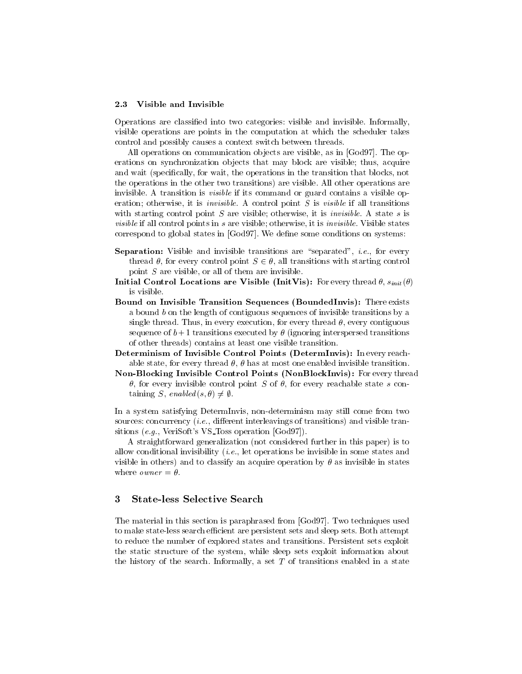#### 2.3Visible and Invisible

Operations are classied into two categories: visible and invisible. Informally, visible operations are points in the computation at which the scheduler takes control and possibly causes a context switch between threads.

All operations on communication ob jects are visible, as in [God97]. The operations on synchronization ob jects that may block are visible; thus, acquire and wait (specically, for wait, the operations in the transition that blocks, not the operations in the other two transitions) are visible. All other operations are invisible. A transition is *visible* if its command or guard contains a visible operation; otherwise, it is *invisible*. A control point  $S$  is *visible* if all transitions with starting control point  $S$  are visible; otherwise, it is *invisible*. A state  $s$  is visible if all control points in <sup>s</sup> are visible; otherwise, it is invisible. Visible states correspond to global states in [God97]. We define some conditions on systems:

- Separation: Visible and invisible transitions are \separated", i.e., for every thread  $\theta$ , for every control point  $S \in \theta$ , all transitions with starting control point  $S$  are visible, or all of them are invisible.
- **Initial Control Locations are Visible (Init Vis):** For every thread  $v, s_{init}(v)$ is visible.
- Bound on Invisible Transition Sequences (BoundedInvis): There exists a bound  $b$  on the length of contiguous sequences of invisible transitions by a single thread. Thus, in every execution, for every thread  $\theta$ , every contiguous sequence of  $b+1$  transitions executed by  $\theta$  (ignoring interspersed transitions of other threads) contains at least one visible transition.
- Determinism of Invisible Control Points (DetermInvis): In every reachable state, for every thread  $\theta$ ,  $\theta$  has at most one enabled invisible transition.
- Non-Blocking Invisible Control Points (NonBlockInvis): For every thread  $\theta$ , for every invisible control point S of  $\theta$ , for every reachable state s containing S, enabled  $(s, \theta) \neq \emptyset$ .

In a system satisfying DetermInvis, non-determinism may still come from two sources: concurrency (*i.e.*, different interleavings of transitions) and visible transitions (e.g., VeriSoft's VS Toss operation [God97]).

A straightforward generalization (not considered further in this paper) is to allow conditional invisibility  $(i.e.,$  let operations be invisible in some states and visible in others) and to classify an acquire operation by  $\theta$  as invisible in states where *owner*  $= \theta$ .

#### 3State-less Selective Search

The material in this section is paraphrased from [God97]. Two techniques used to make state-less search efficient are persistent sets and sleep sets. Both attempt to reduce the number of explored states and transitions. Persistent sets exploit the static structure of the system, while sleep sets exploit information about the history of the search. Informally, a set  $T$  of transitions enabled in a state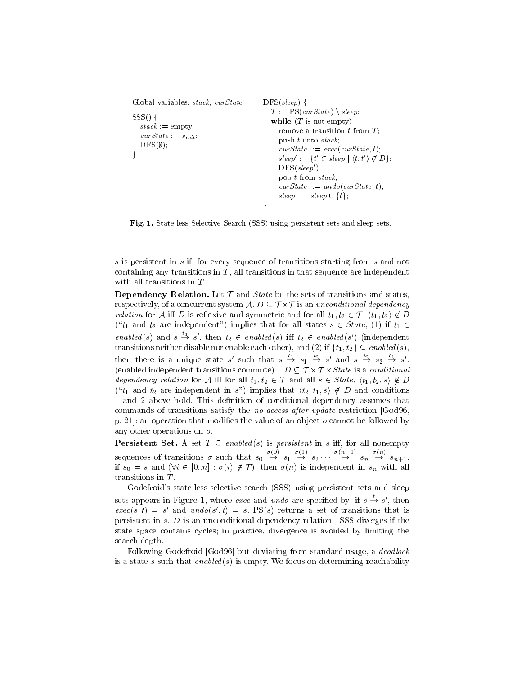```
Global variables: stack, curState;
SSS() {
  stack := empty;curState = s_{init};DFS(\emptyset);\}DFS(sleep) {
                                            T := PS(curState) \setminus sleep;while (T \text{ is not empty})remove a transition t from T;
                                              push t onto stack;
                                              curState := exec(curState, t);sleep' := \{t' \in sleep \mid \langle t, t' \rangle \notin D\};DFS(sleep')pop t from stack;
                                              curState := undo(curState, t);sleep := sleep \cup \{t\};\}
```
Fig. 1. State-less Selective Search (SSS) using persistent sets and sleep sets.

s is persistent in s if, for every sequence of transitions starting from s and not containing any transitions in  $T$ , all transitions in that sequence are independent with all transitions in  $T$ .

**Dependency Relation.** Let T and *State* be the sets of transitions and states, respectively, or a concurrent size  $\pi_i$  is an unconditional dependence of  $\pi_i$  and  $\pi_i$  and  $\pi_i$  and  $\pi_i$  and  $\pi_i$  and  $\pi_i$  and  $\pi_i$ *relation* for A iff D is reflexive and symmetric and for all  $t_1, t_2 \in \mathcal{T}$ ,  $\langle t_1, t_2 \rangle \notin D$ (" $t_1$  and  $t_2$  are independent") implies that for all states  $s \in State$ , (1) if  $t_1 \in$ enabled (s) and  $s \rightarrow s'$ , then  $t_2 \in enabled(s)$  iff  $t_2 \in enabled(s')$  (independent transitions neither disable nor enable each other), and (2) if  $\{t_1, t_2\} \subseteq enabled(s)$ , then there is a unique state s' such that  $s \to s_1 \to s'$  and  $s \to s_2 \to s'$ .  $\mathcal{L}$  -different transitions commutes commuted in  $\mathcal{L}$  -d  $\mathcal{L}$  -t  $\mathcal{L}$  -t  $\mathcal{L}$  -t and  $\mathcal{L}$  -the conditional conditional conditional conditional conditions of  $\mathcal{L}$ dependency relation for A iff for all  $t_1, t_2 \in \mathcal{T}$  and all  $s \in State$ ,  $\langle t_1, t_2, s \rangle \notin D$ (" $t_1$  and  $t_2$  are independent in s") implies that  $\langle t_2, t_1, s \rangle \notin D$  and conditions 1 and 2 above hold. This definition of conditional dependency assumes that commands of transitions satisfy the no-access-after-update restriction [God96, p. 21]: an operation that modifies the value of an object  $o$  cannot be followed by any other operations on o.

Persistent Set. A set <sup>T</sup> enabled (s) is persistent in <sup>s</sup> i, for all nonempty sequences of transitions  $\sigma$  such that  $s_0 \stackrel{\sim}{\to} s_1 \stackrel{\sim}{\to} s_2 \cdots \stackrel{\sim}{\to} s_n \stackrel{\sim}{\to} s_{n+1}$ , if  $s_0 = s$  and  $(\forall i \in [0..n] : \sigma(i) \notin T)$ , then  $\sigma(n)$  is independent in  $s_n$  with all transitions in  $T$ .

Godefroid's state-less selective search (SSS) using persistent sets and sleep sets appears in Figure 1, where *exec* and *undo* are specified by: if  $s \rightarrow s'$ , then  $exec(s, t) = s$  and  $unuous, t) = s$ . PS(s) returns a set of transitions that is persistent in  $s$ .  $D$  is an unconditional dependency relation. SSS diverges if the state space contains cycles; in practice, divergence is avoided by limiting the search depth.

Following Godefroid [God96] but deviating from standard usage, a *deadlock* is a state s such that enabled (s) is empty. We focus on determining reachability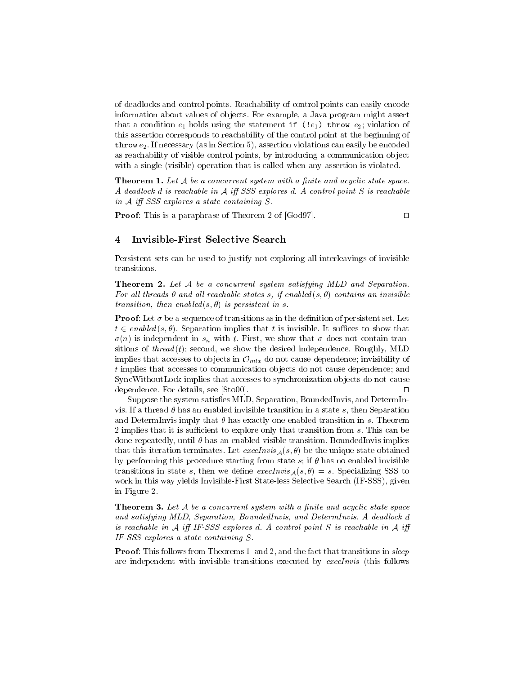of deadlocks and control points. Reachability of control points can easily encode information about values of ob jects. For example, a Java program might assert that a condition  $e_1$  holds using the statement if  $(e_1)$  throw  $e_2$ ; violation of this assertion corresponds to reachability of the control point at the beginning of throw  $e_2$ . If necessary (as in Section 5), assertion violations can easily be encoded as reachability of visible control points, by introducing a communication ob ject with a single (visible) operation that is called when any assertion is violated.

**Theorem 1.** Let A be a concurrent system with a finite and acyclic state space. A deadlock d is reachable in  $A$  iff SSS explores d. A control point  $S$  is reachable in  $A$  iff SSS explores a state containing  $S$ .

**Proof**: This is a paraphrase of Theorem 2 of  $[God97]$ .

#### 4Invisible-First Selective Search

Persistent sets can be used to justify not exploring all interleavings of invisible transitions.

Theorem 2. Let <sup>A</sup> be a concurrent system satisfying MLD and Separation. For all threads  $\theta$  and all reachable states s, if enabled  $(s, \theta)$  contains an invisible transition, then enabled  $(s, \theta)$  is persistent in s.

**Proof**: Let  $\sigma$  be a sequence of transitions as in the definition of persistent set. Let  $t \in enabled(s, \theta)$ . Separation implies that t is invisible. It suffices to show that  $\sigma(n)$  is independent in  $s_n$  with t. First, we show that  $\sigma$  does not contain transitions of thread $(t)$ ; second, we show the desired independence. Roughly, MLD implies that accesses to ob jects in Omtx do not cause dependence; invisibility of t implies that accesses to communication objects do not cause dependence; and SyncWithoutLock implies that accesses to synchronization objects do not cause dependence. For details, see [Sto00].  $\Box$ 

Suppose the system satisfies MLD, Separation, BoundedInvis, and DetermInvis. If a thread  $\theta$  has an enabled invisible transition in a state s, then Separation and DetermInvis imply that  $\theta$  has exactly one enabled transition in s. Theorem 2 implies that it is sufficient to explore only that transition from  $s$ . This can be done repeatedly, until  $\theta$  has an enabled visible transition. BoundedInvis implies that this iteration terminates. Let  $execInvis_{\mathcal{A}}(s, \theta)$  be the unique state obtained by performing this procedure starting from state  $s$ ; if  $\theta$  has no enabled invisible transitions in state s, then we define  $execInvis_{\mathcal{A}}(s, \theta) = s$ . Specializing SSS to work in this way yields Invisible-First State-less Selective Search (IF-SSS), given in Figure 2.

**Theorem 3.** Let A be a concurrent system with a finite and acyclic state space and satisfying MLD, Separation, BoundedInvis, and DetermInvis. A deadlock d is reachable in  $A$  iff IF-SSS explores d. A control point  $S$  is reachable in  $A$  iff IF-SSS explores a state containing S.

**Proof:** This follows from Theorems 1 and 2, and the fact that transitions in sleep are independent with invisible transitions executed by execInvis (this follows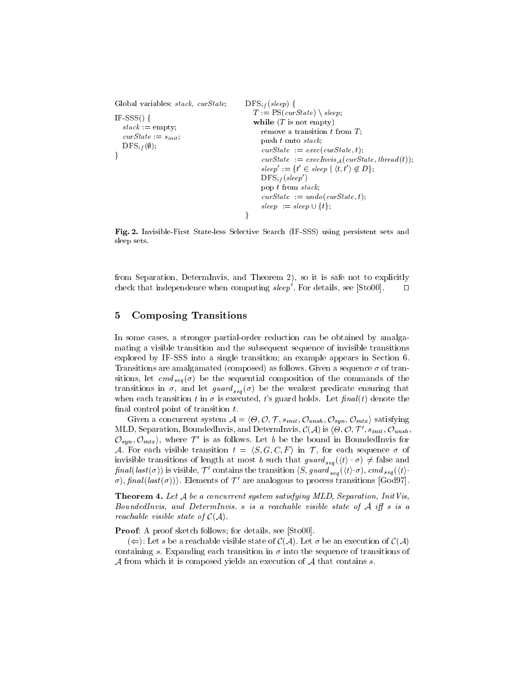| Global variables: stack, curState;                                                       | $DFS_{if}(sleep) \{$                                              |
|------------------------------------------------------------------------------------------|-------------------------------------------------------------------|
| IF-SSS $()$ {<br>$stack :=$ empty:<br>$curState := s_{init}$ ;<br>$DFS_{if}(\emptyset);$ | $T := PS(curState) \setminus sleep;$                              |
|                                                                                          | while $(T \text{ is not empty})$                                  |
|                                                                                          | remove a transition $t$ from $T$ ;                                |
|                                                                                          | push t onto stack;                                                |
|                                                                                          | $curState := exec(curState, t).$                                  |
|                                                                                          | $curState = execInvis_{\mathcal{A}}(curState, thread(t));$        |
|                                                                                          | $sleep' := \{t' \in sleep \mid \langle t, t' \rangle \notin D\};$ |
|                                                                                          | $DFS_{if}(sleep')$                                                |
|                                                                                          | pop t from stack;                                                 |
|                                                                                          | $curState := undo(curState, t);$                                  |
|                                                                                          | $sleep := sleep \cup \{t\};$                                      |
|                                                                                          |                                                                   |

Fig. 2. Invisible-First State-less Selective Search (IF-SSS) using persistent sets and sleep sets.

from Separation, DetermInvis, and Theorem 2), so it is safe not to explicitly check that independence when computing sleep'. For details, see [Sto00].  $\Box$ 

#### 5Composing Transitions

In some cases, a stronger partial-order reduction can be obtained by amalgamating a visible transition and the subsequent sequence of invisible transitions explored by IF-SSS into a single transition; an example appears in Section 6. Transitions are amalgamated (composed) as follows. Given a sequence  $\sigma$  of transitions, let cm seq () be the sequential composition of the communication of the communication of  $\sim$ transitions in , and let  $g_{\mu}$  ,  $g_{\mu}$  , the the weakest predicate ensuring that  $\alpha$ when each transition t in  $\sigma$  is executed, t's guard holds. Let final (t) denote the final control point of transition  $t$ .

 $\mathcal{C}$  . For a concurrent system  $\mathcal{C}$  ;  $\mathcal{C}$  ;  $\mathcal{C}$  ;  $\mathcal{C}$  ;  $\mathcal{C}$  ;  $\mathcal{C}$  ;  $\mathcal{C}$  ;  $\mathcal{C}$  ;  $\mathcal{C}$  ;  $\mathcal{C}$  ;  $\mathcal{C}$  ;  $\mathcal{C}$  ;  $\mathcal{C}$  ;  $\mathcal{C}$  ;  $\mathcal{C}$  ;  $\mathcal{C}$  ;  $\mathcal{C}$  ; MLD, Separation, BoundedInvis, and Determinvis,  $U(\mathcal{A})$  is  $(\mathcal{O}, \mathcal{O}, I_{\rightarrow} s_{init}, \mathcal{O}_{unsh},$  $\mathcal{O}_{sun}, \mathcal{O}_{mtx}$ , where T is as follows. Let b be the bound in BoundedInvis for A. For each visible transition  $t = \langle S, G, C, F \rangle$  in T, for each sequence  $\sigma$  of invisible transitions of length at most b such that  $g$  such  $seg$  (hti  $\rightarrow$  )  $f$  , find a normal final (last  $(\sigma)$ ) is visible, T contains the transition  $\langle S, guara|_{seq}(\langle t \rangle \cdot \sigma), cma|_{seq}(\langle t \rangle \cdot \sigma)$  $\sigma$ ), final (last  $(\sigma)$ )). Elements of T' are analogous to process transitions [God97].

**Theorem 4.** Let A *be a concurrent system satisfying MLD*, Separation, Inity is, BoundedInvis, and DetermInvis. s is a reachable visible state of  $A$  iff s is a reachable visible state of  $\mathcal{C}(\mathcal{A})$ .

Proof: A proof sketch follows; for details, see [Sto00].

 $(\Leftarrow)$ : Let s be a reachable visible state of  $\mathcal{C}(\mathcal{A})$ . Let  $\sigma$  be an execution of  $\mathcal{C}(\mathcal{A})$ containing s. Expanding each transition in  $\sigma$  into the sequence of transitions of A from which it is composed yields an execution of  $A$  that contains  $s$ .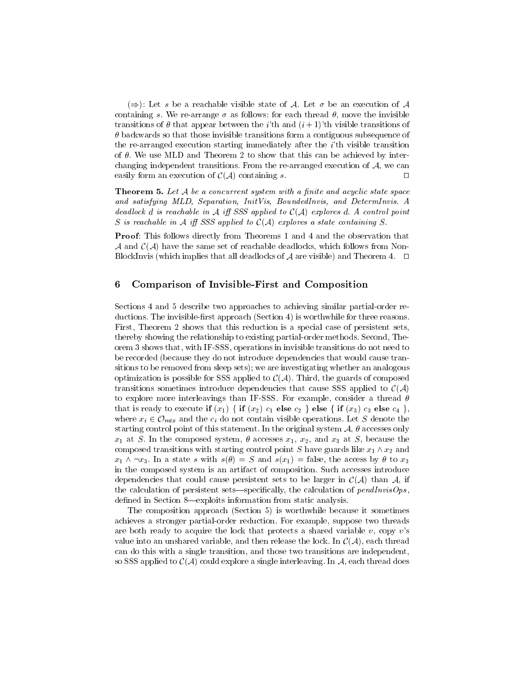$(\Rightarrow)$ : Let s be a reachable visible state of A. Let  $\sigma$  be an execution of A containing s. We re-arrange  $\sigma$  as follows: for each thread  $\theta$ , move the invisible transitions of  $\theta$  that appear between the *i*'th and  $(i+1)$ 'th visible transitions of  $\theta$  backwards so that those invisible transitions form a contiguous subsequence of the re-arranged execution starting immediately after the <sup>i</sup>'th visible transition of  $\theta$ . We use MLD and Theorem 2 to show that this can be achieved by interchanging independent transitions. From the re-arranged execution of  $A$ , we can easily form an execution of  $\mathcal{C}(\mathcal{A})$  containing s.  $\Box$ 

**Theorem 5.** Let A be a concurrent system with a finite and acyclic state space and satisfying MLD, Separation, InitVis, BoundedInvis, and DetermInvis. A deadlock d is reachable in A iff SSS applied to  $\mathcal{C}(\mathcal{A})$  explores d. A control point S is reachable in A iff SSS applied to  $\mathcal{C}(\mathcal{A})$  explores a state containing S.

Proof: This follows directly from Theorems 1 and 4 and the observation that A and  $\mathcal{C}(\mathcal{A})$  have the same set of reachable deadlocks, which follows from Non-BlockInvis (which implies that all deadlocks of A are visible) and Theorem 4.  $\Box$ 

#### 6Comparison of Invisible-First and Composition

Sections 4 and 5 describe two approaches to achieving similar partial-order reductions. The invisible-first approach (Section 4) is worthwhile for three reasons. First, Theorem 2 shows that this reduction is a special case of persistent sets, thereby showing the relationship to existing partial-order methods. Second, Theorem 3 shows that, with IF-SSS, operations in invisible transitions do not need to be recorded (because they do not introduce dependencies that would cause transitions to be removed from sleep sets); we are investigating whether an analogous optimization is possible for SSS applied to  $\mathcal{C}(\mathcal{A})$ . Third, the guards of composed transitions sometimes introduce dependencies that cause SSS applied to  $\mathcal{C}(\mathcal{A})$ to explore more interleavings than IF-SSS. For example, consider a thread  $\theta$ that is ready to execute if  $(x_1) \{$  if  $(x_2)$   $c_1$  else  $c_2$  } else  $\{$  if  $(x_3)$   $c_3$  else  $c_4$  }, where  $x_i \in \mathcal{O}_{mtx}$  and the  $c_i$  do not contain visible operations. Let S denote the starting control point of this statement. In the original system  $A, \theta$  accesses only  $x_1$  at S. In the composed system,  $\theta$  accesses  $x_1, x_2$ , and  $x_3$  at S, because the composed transitions with starting control point S have guards like  $x_1 \wedge x_2$  and  $x_1 \wedge \neg x_3$ . In a state s with  $s(\theta) = S$  and  $s(x_1) =$  false, the access by  $\theta$  to  $x_3$ in the composed system is an artifact of composition. Such accesses introduce dependencies that could cause persistent sets to be larger in  $\mathcal{C}(\mathcal{A})$  than  $\mathcal{A}$ , if the calculation of persistent sets—specifically, the calculation of  $pendInvisOps$ , defined in Section 8—exploits information from static analysis.

The composition approach (Section 5) is worthwhile because it sometimes achieves a stronger partial-order reduction. For example, suppose two threads are both ready to acquire the lock that protects a shared variable  $v$ , copy  $v$ 's value into an unshared variable, and then release the lock. In  $\mathcal{C}(\mathcal{A})$ , each thread can do this with a single transition, and those two transitions are independent, so SSS applied to  $\mathcal{C}(\mathcal{A})$  could explore a single interleaving. In  $\mathcal{A}$ , each thread does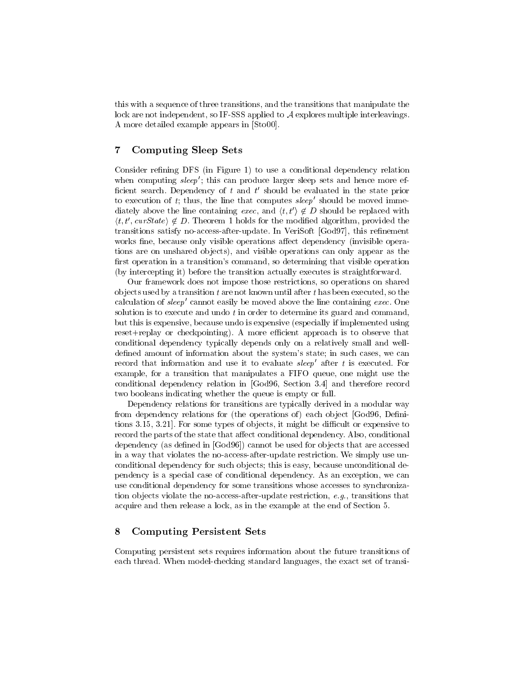this with a sequence of three transitions, and the transitions that manipulate the lock are not independent, so IF-SSS applied to <sup>A</sup> explores multiple interleavings. A more detailed example appears in [Sto00].

### 7Computing Sleep Sets

Consider refining DFS (in Figure 1) to use a conditional dependency relation when computing  $sleep'$ ; this can produce larger sleep sets and hence more ef- $\mathop{\rm ncient}\nolimits$  search. Dependency of  $\iota$  and  $\iota$  -should be evaluated in the state prior to execution of  $t$ ; thus, the line that computes sleep' should be moved immediately above the line containing exec, and  $\langle t, t' \rangle \notin D$  should be replaced with  $\langle t, t', \text{curState} \rangle \notin D$ . Theorem 1 holds for the modified algorithm, provided the transitions satisfy no-access-after-update. In VeriSoft  $\lceil \text{God97} \rceil$ , this refinement works fine, because only visible operations affect dependency (invisible operations are on unshared objects), and visible operations can only appear as the first operation in a transition's command, so determining that visible operation (by intercepting it) before the transition actually executes is straightforward.

Our framework does not impose those restrictions, so operations on shared objects used by a transition  $t$  are not known until after  $t$  has been executed, so the calculation of  $sleep'$  cannot easily be moved above the line containing exec. One solution is to execute and undo  $t$  in order to determine its guard and command, but this is expensive, because undo is expensive (especially if implemented using  $reset+replay$  or checkpointing). A more efficient approach is to observe that conditional dependency typically depends only on a relatively small and welldefined amount of information about the system's state; in such cases, we can record that information and use it to evaluate sleep' after t is executed. For example, for a transition that manipulates a FIFO queue, one might use the conditional dependency relation in [God96, Section 3.4]and therefore record two booleans indicating whether the queue is empty or full.

Dependency relations for transitions are typically derived in a modular way from dependency relations for (the operations of) each object [God96, Definitions 3.15, 3.21]. For some types of objects, it might be difficult or expensive to record the parts of the state that affect conditional dependency. Also, conditional dependency (as defined in [God96]) cannot be used for objects that are accessed in a way that violates the no-access-after-update restriction. We simply use unconditional dependency for such ob jects; this is easy, because unconditional dependency is a special case of conditional dependency. As an exception, we can use conditional dependency for some transitions whose accesses to synchronization objects violate the no-access-after-update restriction,  $e.g.,$  transitions that acquire and then release a lock, as in the example at the end of Section 5.

### 8Computing Persistent Sets

Computing persistent sets requires information about the future transitions of each thread. When model-checking standard languages, the exact set of transi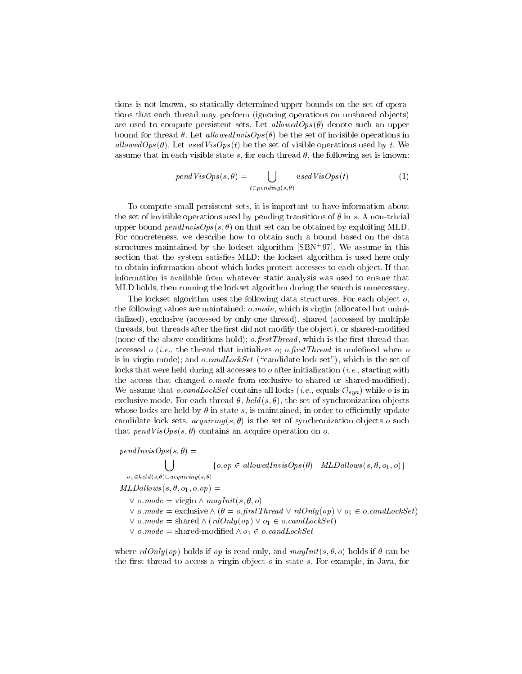tions is not known, so statically determined upper bounds on the set of operations that each thread may perform (ignoring operations on unshared objects) are used to compute persistent sets. Let  $allowedOps(\theta)$  denote such an upper bound for thread  $\theta$ . Let allowedInvisOps( $\theta$ ) be the set of invisible operations in allowed  $Ops(\theta)$ . Let used  $VisOps(t)$  be the set of visible operations used by t. We assume that in each visible state s, for each thread  $\theta$ , the following set is known:

$$
pendVisOps(s,\theta) = \bigcup_{t \in pending(s,\theta)} usedVisOps(t)
$$
 (1)

To compute small persistent sets, it is important to have information about the set of invisible operations used by pending transitions of  $\theta$  in s. A non-trivial upper bound  $pendInvisOps(s, \theta)$  on that set can be obtained by exploiting MLD. For concreteness, we describe how to obtain such a bound based on the data structures maintained by the lockset algorithm [SBN+ 97]. We assume in this section that the system satisfies MLD; the lockset algorithm is used here only to obtain information about which locks protect accesses to each ob ject. If that information is available from whatever static analysis was used to ensure that MLD holds, then running the lockset algorithm during the search is unnecessary.

The lockset algorithm uses the following data structures. For each object  $o$ , the following values are maintained:  $o$ .  $mode$ , which is virgin (allocated but uninitialized), exclusive (accessed by only one thread), shared (accessed by multiple threads, but threads after the first did not modify the object), or shared-modified (none of the above conditions hold);  $o$  first Thread, which is the first thread that accessed o (*i.e.*, the thread that initializes o; o.firstThread is undefined when o is in virgin mode); and  $o. \text{cand} \text{LockSet}$  ("candidate lock set"), which is the set of locks that were held during all accesses to  $o$  after initialization (*i.e.*, starting with the access that changed  $o$  mode from exclusive to shared or shared-modified). We assume that of contains all localizations all localizations (i.e., equals  $\bullet$   $\delta_{HH}$  ) while o is in its exclusive mode. For each thread  $\theta$ , held(s,  $\theta$ ), the set of synchronization objects whose locks are held by  $\theta$  in state s, is maintained, in order to efficiently update candidate lock sets.  $acquiring(s, \theta)$  is the set of synchronization objects o such that  $pendVisOps(s, \theta)$  contains an acquire operation on o.

$$
pendInvisOps(s, \theta)
$$
 =

the contract of the contract of the contract of the contract of the contract of the contract of the contract of o 12 held (s;) [acquiring(s;)]  $\lceil \circ \cdot \circ \rho \rceil$  2 and we write  $\lceil \circ \rho \rceil$  is  $\lceil \circ \rho \rceil$  in the same write  $\lceil \circ \rho \rceil$  is  $\lceil \circ \rho \rceil$ 

 $MLDallows(s, \theta, o_1, o.op) =$ 

 $\vee$  o.mode = virgin  $\wedge$  mayInit(s,  $\theta$ , o)

 $\vee$  o.mode = exclusive  $\wedge$  ( $\theta = o$ .firstThread  $\vee$  rdOnly (op)  $\vee$   $o_1 \in o$ .candLockSet)  $\vee$  o.mode = shared  $\wedge$  (rdOnly (op)  $\vee$  o<sub>1</sub>  $\in$  o.candLockSet)

 $\vee$  o.mode = shared-modified  $\wedge$   $o_1 \in o.~candLockSet$ 

where  $rdOnly(op)$  holds if op is read-only, and  $mayInit(s, \theta, o)$  holds if  $\theta$  can be the first thread to access a virgin object  $o$  in state  $s$ . For example, in Java, for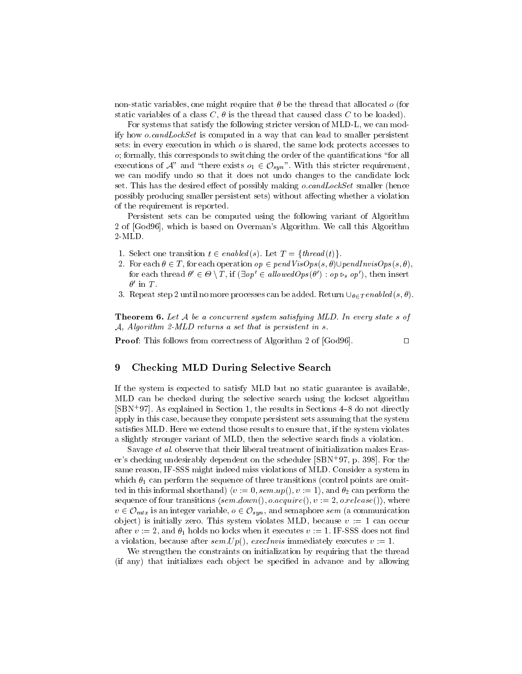non-static variables, one might require that  $\theta$  be the thread that allocated o (for static variables of a class  $C, \theta$  is the thread that caused class C to be loaded).

For systems that satisfy the following stricter version of MLD-L, we can modify how *o.candLockSet* is computed in a way that can lead to smaller persistent sets: in every execution in which  $o$  is shared, the same lock protects accesses to  $o$ ; formally, this corresponds to switching the order of the quantifications "for all executions of A" and "there exists  $o_1 \in \mathcal{O}_{sym}$ ". With this stricter requirement, we can modify undo so that it does not undo changes to the candidate lock set. This has the desired effect of possibly making  $o. \text{cand} \text{LockSet}$  smaller (hence possibly producing smaller persistent sets) without affecting whether a violation of the requirement is reported.

Persistent sets can be computed using the following variant of Algorithm 2 of [God96], which is based on Overman's Algorithm. We call this Algorithm 2-MLD.

- 1. Select one transition  $t \in enabled(s)$ . Let  $T = \{thread(t)\}.$
- 2. For each  $\theta \in T$ , for each operation  $op \in pendVisOps(s, \theta) \cup pendInvisOps(s, \theta),$ for each thread  $\sigma \in \mathcal{O} \setminus I$ , if  $(\exists \sigma p \in \mathit{autoweaOps}(\sigma) : op \rhd_s op)$ , then insert  $\sigma$  in  $I$ .
- 3. Repeat step 2 until no more processes can be added. Return  $\bigcup_{\theta \in T} enabled(s, \theta)$ .

**Theorem 6.** Let A be a concurrent system satisfying MLD. In every state s of A, Algorithm 2-MLD returns a set that is persistent in s.

**Proof:** This follows from correctness of Algorithm 2 of [God96].  $\Box$ 

#### 9Checking MLD During Selective Search

If the system is expected to satisfy MLD but no static guarantee is available, MLD can be checked during the selective search using the lockset algorithm  $[SDN+97]$ . As explained in Section 1, the results in Sections 4 $\pm$ 8 do not directly apply in this case, because they compute persistent sets assuming that the system satisfies MLD. Here we extend those results to ensure that, if the system violates a slightly stronger variant of MLD, then the selective search finds a violation.

Savage *et al.* observe that their liberal treatment of initialization makes Eraser's checking undesirably dependent on the scheduler [SBN+ 97, p. 398]. For the same reason, IF-SSS might indeed miss violations of MLD. Consider a system in which  $\theta_1$  can perform the sequence of three transitions (control points are omitted in this informal shorthand)  $\langle v := 0, sem.up(0), v := 1 \rangle$ , and  $\theta_2$  can perform the sequence of four transitions  $\langle sem.down(), o.acquire(), v := 2, o. release(),$  where  $\mathcal{L} = \mathcal{L} \cup \{ \mathcal{L} \cup \{ \mathcal{L} \} \cup \{ \mathcal{L} \} \cup \{ \mathcal{L} \} \cup \{ \mathcal{L} \} \cup \{ \mathcal{L} \}$ object) is initially zero. This system violates MLD, because  $v := 1$  can occur after  $v := 2$ , and  $\theta_1$  holds no locks when it executes  $v := 1$ . IF-SSS does not find a violation, because after sem.  $Up()$ , execInvis immediately executes  $v := 1$ .

We strengthen the constraints on initialization by requiring that the thread (if any) that initializes each object be specified in advance and by allowing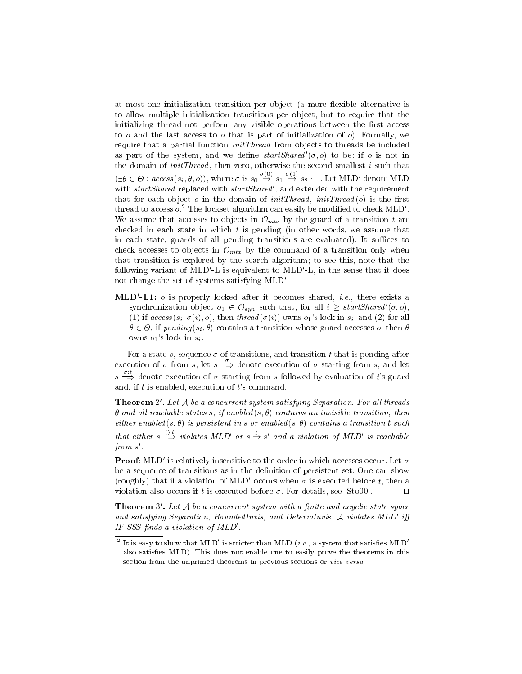at most one initialization transition per object (a more flexible alternative is to allow multiple initialization transitions per ob ject, but to require that the initializing thread not perform any visible operations between the first access to  $o$  and the last access to  $o$  that is part of initialization of  $o$ ). Formally, we require that a partial function *initThread* from objects to threads be included as part of the system, and we define  $star$  are  $(\sigma,o)$  to be: if  $o$  is not in the domain of  $initThread$ , then zero, otherwise the second smallest  $i$  such that  $(\exists \theta \in \Theta : access(s_i, \theta, o)),$  where  $\sigma$  is  $s_0 \stackrel{\sim}{\to} s_1 \stackrel{\sim}{\to} s_2 \cdots$  Let MLD' denote MLD with *startSharea* replaced with *startSharea* , and extended with the requirement that for each object  $o$  in the domain of *initThread*, *initThread*( $o$ ) is the first thread to access  $o^2$ . The lockset algorithm can easily be modified to check MLD'. We assume that accesses to objects in  $\bullet$  limit  $\bullet$  in Omina to obtain the area to the  $\bullet$ checked in each state in which  $t$  is pending (in other words, we assume that in each state, guards of all pending transitions are evaluated). It suffices to check accesses to objects in  $\bullet$   $\mu_{bb}$  by the communication of a transition only when  $\cdot$ that transition is explored by the search algorithm; to see this, note that the following variant of MLD'-L is equivalent to MLD'-L, in the sense that it does not change the set of systems satisfying  $MLD'$ :

**MLD** -L1:  $\theta$  is properly locked after it becomes shared,  $i.e.,$  there exists a synchronization object  $o_1 \in \mathcal{O}_{sun}$  such that, for all  $i \geq start~S}$  fracts  $(\sigma, o),$ (1) if  $access(s_i, \sigma(i), o)$ , then thread  $(\sigma(i))$  owns  $o_1$ 's lock in  $s_i$ , and (2) for all  $\alpha$   $\alpha$  , if pending (si), contains a transition whose guard accesses of them to owns  $o_1$ 's lock in  $s_i$ .

For a state s, sequence  $\sigma$  of transitions, and transition t that is pending after execution of  $\sigma$  from s, let  $s \implies$  denote execution of  $\sigma$  starting from s, and let  $s \stackrel{\rightarrow}{\rightarrow}$  denote execution of  $\sigma$  starting from s followed by evaluation of t's guard and, if <sup>t</sup> is enabled, execution of <sup>t</sup>'s command.

**Theorem 2.** Let A be a concurrent system satisfying Separation. For all threads  $\theta$  and all reachable states s, if enabled  $(s, \theta)$  contains an invisible transition, then either enabled  $(s, \theta)$  is persistent in s or enabled  $(s, \theta)$  contains a transition t such that either  $s \stackrel{\longrightarrow}{\longrightarrow}$  violates MLD' or  $s \stackrel{\sim}{\to} s'$  and a violation of MLD' is reachable from s and  $\sim$ 

**Proof:** MLD' is relatively insensitive to the order in which accesses occur. Let  $\sigma$ be a sequence of transitions as in the definition of persistent set. One can show (roughly) that if a violation of MLD' occurs when  $\sigma$  is executed before t, then a violation also occurs if t is executed before  $\sigma$ . For details, see [Sto00].  $\Box$ 

**Theorem 5.** Let A *ve a concurrent system with a finite and acyclic state space* and satisfying Separation, BoundedInvis, and DetermInvis. A violates  $MLD'$  iff  $IF\text{-}SSS$  finds a violation of  $MLD'$ .

<sup>&</sup>lt;sup>2</sup> It is easy to show that MLD<sup>'</sup> is stricter than MLD (*i.e.*, a system that satisfies MLD<sup>'</sup> also satisfies MLD). This does not enable one to easily prove the theorems in this section from the unprimed theorems in previous sections or *vice versa*.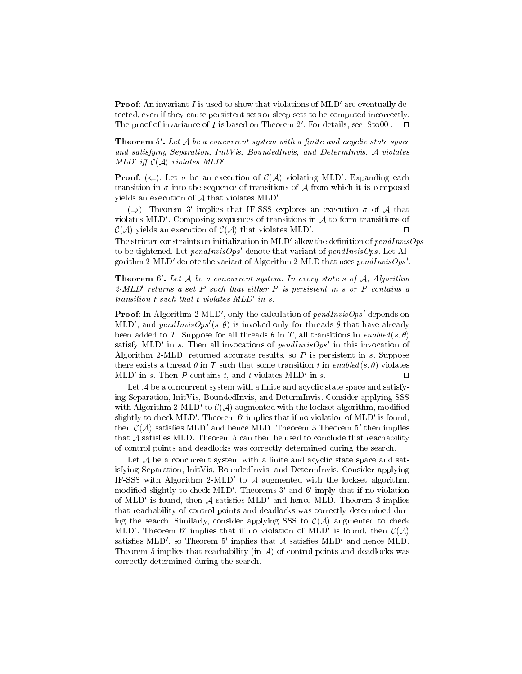**Proof:** An invariant I is used to show that violations of  $MLD'$  are eventually detected, even if they cause persistent sets or sleep sets to be computed incorrectly. The proof of invariance of I is based on Theorem 2'. For details, see [Sto00].  $\square$ 

**Theorem** 5. Let A *ve a concurrent system with a finite and acyclic state space* and satisfying Separation, InitVis, BoundedInvis, and DetermInvis. <sup>A</sup> violates  $MLD'$  iff  $C(A)$  violates  $MLD'$ .

**Proof:**  $(\Leftarrow)$ : Let  $\sigma$  be an execution of  $\mathcal{C}(\mathcal{A})$  violating MLD'. Expanding each transition in  $\sigma$  into the sequence of transitions of A from which it is composed yields an execution of  $A$  that violates MLD'.

 $(\Rightarrow)$ : Theorem 3' implies that IF-SSS explores an execution  $\sigma$  of A that violates MLD'. Composing sequences of transitions in  $A$  to form transitions of  $\mathcal{C}(\mathcal{A})$  yields an execution of  $\mathcal{C}(\mathcal{A})$  that violates MLD'.

The stricter constraints on initialization in MLD' allow the definition of  $pendInvisOps$ to be tightened. Let  $pendInvisOps'$  denote that variant of  $pendInvisOps$ . Let Algorithm 2-MLD' denote the variant of Algorithm 2-MLD that uses  $pendInvisOps'$ .

**Theorem 6.** Let A be a concurrent system. In every state s of A, Algorithm  $2-MLD'$  returns a set P such that either P is persistent in s or P contains a transition  $t$  such that  $t$  violates  $MLD'$  in  $s$ .

**Proof:** In Algorithm 2-MLD', only the calculation of  $pendInvisOps'$  depends on MLD', and  $pendInvisOps'(s, \theta)$  is invoked only for threads  $\theta$  that have already been added to T. Suppose for all threads  $\theta$  in T, all transitions in enabled  $(s, \theta)$ satisfy MLD<sup>'</sup> in s. Then all invocations of  $pendInvisOps'$  in this invocation of Algorithm 2-MLD' returned accurate results, so  $P$  is persistent in s. Suppose there exists a thread  $\theta$  in T such that some transition t in enabled  $(s, \theta)$  violates MLD<sup> $\prime$ </sup> in s. Then P contains t, and t violates MLD<sup> $\prime$ </sup> in s.

Let  $A$  be a concurrent system with a finite and acyclic state space and satisfying Separation, InitVis, BoundedInvis, and DetermInvis. Consider applying SSS with Algorithm 2-MLD' to  $C(\mathcal{A})$  augmented with the lockset algorithm, modified slightly to check MLD'. Theorem  $6'$  implies that if no violation of MLD' is found, then  $\mathcal{C}(\mathcal{A})$  satisfies MLD' and hence MLD. Theorem 3 Theorem 5' then implies that  $\mathcal A$  satisfies MLD. Theorem 5 can then be used to conclude that reachability of control points and deadlocks was correctly determined during the search.

Let  $A$  be a concurrent system with a finite and acyclic state space and satisfying Separation, InitVis, BoundedInvis, and DetermInvis. Consider applying IF-SSS with Algorithm 2-MLD<sup>'</sup> to  $\mathcal A$  augmented with the lockset algorithm, modified slightly to check MLD'. Theorems  $3'$  and  $6'$  imply that if no violation of MLD' is found, then  $A$  satisfies MLD' and hence MLD. Theorem 3 implies that reachability of control points and deadlocks was correctly determined during the search. Similarly, consider applying SSS to  $\mathcal{C}(\mathcal{A})$  augmented to check MLD'. Theorem 6' implies that if no violation of MLD' is found, then  $\mathcal{C}(\mathcal{A})$ satisfies MLD', so Theorem 5' implies that  $\mathcal A$  satisfies MLD' and hence MLD. Theorem 5 implies that reachability (in  $A$ ) of control points and deadlocks was correctly determined during the search.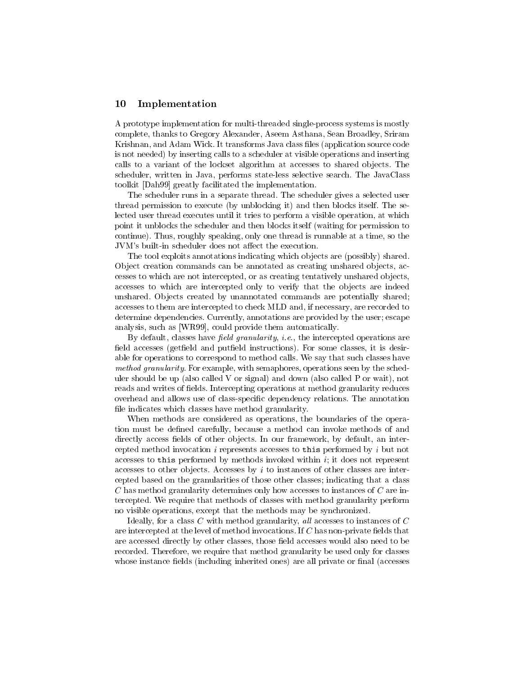#### 10Implementation

A prototype implementation for multi-threaded single-process systems is mostly complete, thanks to Gregory Alexander, Aseem Asthana, Sean Broadley, Sriram Krishnan, and Adam Wick. It transforms Java class files (application source code is not needed) by inserting calls to a scheduler at visible operations and inserting calls to a variant of the lockset algorithm at accesses to shared objects. The scheduler, written in Java, performs state-less selective search. The JavaClass toolkit [Dah99] greatly facilitated the implementation.

The scheduler runs in a separate thread. The scheduler gives a selected user thread permission to execute (by unblocking it) and then blocks itself. The selected user thread executes until it tries to perform a visible operation, at which point it unblocks the scheduler and then blocks itself (waiting for permission to continue). Thus, roughly speaking, only one thread is runnable at a time, so the JVM's built-in scheduler does not affect the execution.

The tool exploits annotations indicating which ob jects are (possibly) shared. Object creation commands can be annotated as creating unshared objects, accesses to which are not intercepted, or as creating tentatively unshared ob jects, accesses to which are intercepted only to verify that the objects are indeed unshared. Objects created by unannotated commands are potentially shared; accesses to them are intercepted to check MLD and, if necessary, are recorded to determine dependencies. Currently, annotations are provided by the user; escape analysis, such as [WR99], could provide them automatically.

By default, classes have *field granularity*, *i.e.*, the intercepted operations are field accesses (getfield and putfield instructions). For some classes, it is desirable for operations to correspond to method calls. We say that such classes have method granularity. For example, with semaphores, operations seen by the scheduler should be up (also called V or signal) and down (also called P or wait), not reads and writes of fields. Intercepting operations at method granularity reduces overhead and allows use of class-specic dependency relations. The annotation file indicates which classes have method granularity.

When methods are considered as operations, the boundaries of the operation must be defined carefully, because a method can invoke methods of and directly access fields of other objects. In our framework, by default, an intercepted method invocation <sup>i</sup> represents accesses to this performed by <sup>i</sup> but not accesses to this performed by methods invoked within  $i$ ; it does not represent accesses to other objects. Accesses by  $i$  to instances of other classes are intercepted based on the granularities of those other classes; indicating that a class  $C$  has method granularity determines only how accesses to instances of  $C$  are intercepted. We require that methods of classes with method granularity perform no visible operations, except that the methods may be synchronized.

Ideally, for a class  $C$  with method granularity, all accesses to instances of  $C$ are intercepted at the level of method invocations. If  $C$  has non-private fields that are accessed directly by other classes, those field accesses would also need to be recorded. Therefore, we require that method granularity be used only for classes whose instance fields (including inherited ones) are all private or final (accesses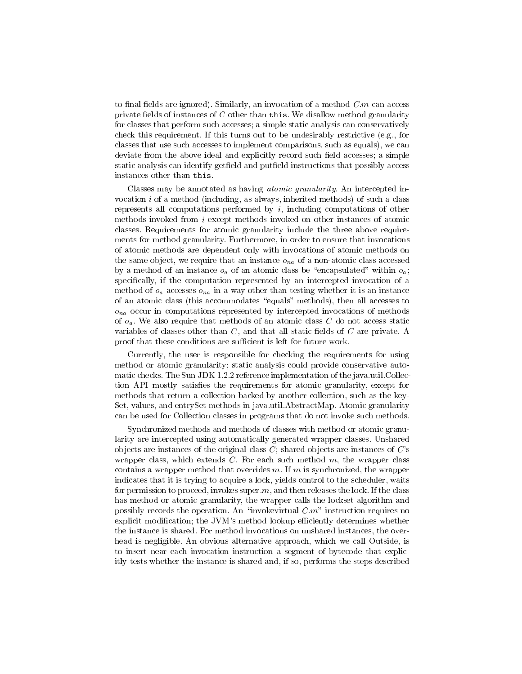to final fields are ignored). Similarly, an invocation of a method  $C.m$  can access private fields of instances of  $C$  other than this. We disallow method granularity for classes that perform such accesses; a simple static analysis can conservatively check this requirement. If this turns out to be undesirably restrictive (e.g., for classes that use such accesses to implement comparisons, such as equals), we can deviate from the above ideal and explicitly record such field accesses; a simple static analysis can identify get field and put field instructions that possibly access instances other than this.

Classes may be annotated as having atomic granularity. An intercepted in vocation  $i$  of a method (including, as always, inherited methods) of such a class represents all computations performed by  $i$ , including computations of other methods invoked from <sup>i</sup> except methods invoked on other instances of atomic classes. Requirements for atomic granularity include the three above requirements for method granularity. Furthermore, in order to ensure that invocations of atomic methods are dependent only with invocations of atomic methods on the same object, we require that an instance  $o_{na}$  of a non-atomic class accessed by a method of an instance  $o_a$  of an atomic class be "encapsulated" within  $o_a$ ; specically, if the computation represented by an intercepted invocation of a method of  $o_a$  accesses  $o_{na}$  in a way other than testing whether it is an instance of an atomic class (this accommodates \equals" methods), then all accesses to  $o_{na}$  occur in computations represented by intercepted invocations of methods of  $o_a$ . We also require that methods of an atomic class C do not access static variables of classes other than  $C$ , and that all static fields of  $C$  are private. A proof that these conditions are sufficient is left for future work.

Currently, the user is responsible for checking the requirements for using method or atomic granularity; static analysis could provide conservative automatic checks. The Sun JDK 1.2.2 reference implementation of the java.util.Collection API mostly satises the requirements for atomic granularity, except for methods that return a collection backed by another collection, such as the key-Set, values, and entrySet methods in java.util.AbstractMap. Atomic granularity can be used for Collection classes in programs that do not invoke such methods.

Synchronized methods and methods of classes with method or atomic granularity are intercepted using automatically generated wrapper classes. Unshared objects are instances of the original class  $C$ ; shared objects are instances of  $C$ 's wrapper class, which extends  $C$ . For each such method  $m$ , the wrapper class contains a wrapper method that overrides  $m$ . If m is synchronized, the wrapper indicates that it is trying to acquire a lock, yields control to the scheduler, waits for permission to proceed, invokes super.m, and then releases the lock. If the class has method or atomic granularity, the wrapper calls the lockset algorithm and possibly records the operation. An "invokevirtual  $C.m$ " instruction requires no explicit modification; the JVM's method lookup efficiently determines whether the instance is shared. For method invocations on unshared instances, the overhead is negligible. An obvious alternative approach, which we call Outside, is to insert near each invocation instruction a segment of bytecode that explicitly tests whether the instance is shared and, if so, performs the steps described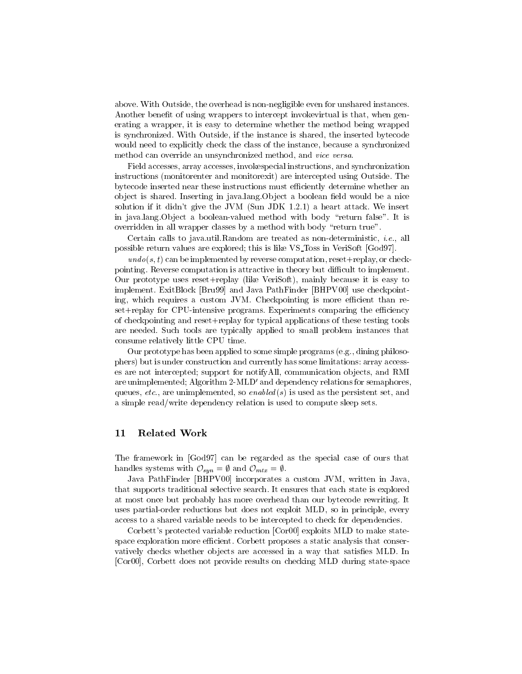above. With Outside, the overhead is non-negligible even for unshared instances. Another benefit of using wrappers to intercept invokevirtual is that, when generating a wrapper, it is easy to determine whether the method being wrapped is synchronized. With Outside, if the instance is shared, the inserted bytecode would need to explicitly check the class of the instance, because a synchronized method can override an unsynchronized method, and vice versa.

Field accesses, array accesses, invokespecial instructions, and synchronization instructions (monitorenter and monitorexit) are intercepted using Outside. The bytecode inserted near these instructions must efficiently determine whether an object is shared. Inserting in java.lang. Object a boolean field would be a nice solution if it didn't give the JVM (Sun JDK 1.2.1) a heart attack. We insert in java.lang.Object a boolean-valued method with body "return false". It is overridden in all wrapper classes by a method with body "return true".

Certain calls to java.util.Random are treated as non-deterministic, i.e., all possible return values are explored; this is like VS Toss in VeriSoft [God97].

 $undo(s, t)$  can be implemented by reverse computation, reset+replay, or checkpointing. Reverse computation is attractive in theory but difficult to implement. Our prototype uses reset+replay (like VeriSoft), mainly because it is easy to implement. ExitBlock [Bru99] and Java PathFinder [BHPV00] use checkpointing, which requires a custom JVM. Checkpointing is more efficient than reset+replay for CPU-intensive programs. Experiments comparing the efficiency of checkpointing and reset+replay for typical applications of these testing tools are needed. Such tools are typically applied to small problem instances that consume relatively little CPU time.

Our prototype has been applied to some simple programs (e.g., dining philosophers) but is under construction and currently has some limitations: array accesses are not intercepted; support for notifyAll, communication ob jects, and RMI are unimplemented; Algorithm 2-MLD' and dependency relations for semaphores. queues, etc., are unimplemented, so enabled  $(s)$  is used as the persistent set, and a simple read/write dependency relation is used to compute sleep sets.

#### 11Related Work

The framework in [God97] can be regarded as the special case of ours that handles systems with Osyn <sup>=</sup> ; and Omtx <sup>=</sup> ;.

Java PathFinder [BHPV00] incorporates a custom JVM, written in Java, that supports traditional selective search. It ensures that each state is explored at most once but probably has more overhead than our bytecode rewriting. It uses partial-order reductions but does not exploit MLD, so in principle, every access to a shared variable needs to be intercepted to check for dependencies.

Corbett's protected variable reduction [Cor00] exploits MLD to make statespace exploration more efficient. Corbett proposes a static analysis that conservatively checks whether objects are accessed in a way that satisfies MLD. In [Cor00], Corbett does not provide results on checking MLD during state-space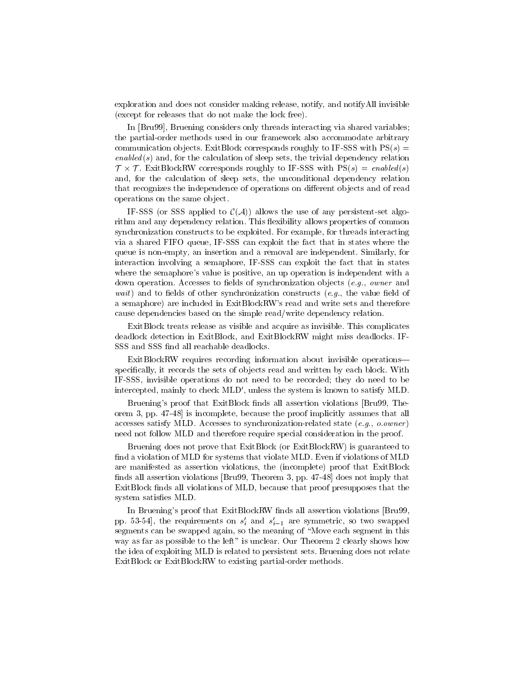exploration and does not consider making release, notify, and notifyAll invisible (except for releases that do not make the lock free).

In [Bru99], Bruening considers only threads interacting via shared variables; the partial-order methods used in our framework also accommodate arbitrary communication objects. ExitBlock corresponds roughly to IF-SSS with  $PS(s)$  =  $enabled(s)$  and, for the calculation of sleep sets, the trivial dependency relation  $\bm{y}$  ,  $\bm{y}$  ,  $\bm{y}$  . The state of the state  $\bm{y}$  and  $\bm{y}$  are to  $\bm{y}$  and  $\bm{y}$  . The state  $\bm{y}$  and  $\bm{y}$  are to  $\bm{y}$  and  $\bm{y}$  and  $\bm{y}$  are to  $\bm{y}$  and  $\bm{y}$  and  $\bm{y}$  are to  $\bm{$ and, for the calculation of sleep sets, the unconditional dependency relation that recognizes the independence of operations on different objects and of read operations on the same object.

IF-SSS (or SSS applied to  $\mathcal{C}(\mathcal{A})$ ) allows the use of any persistent-set algorithm and any dependency relation. This flexibility allows properties of common synchronization constructs to be exploited. For example, for threads interacting via a shared FIFO queue, IF-SSS can exploit the fact that in states where the queue is non-empty, an insertion and a removal are independent. Similarly, for interaction involving a semaphore, IF-SSS can exploit the fact that in states where the semaphore's value is positive, an up operation is independent with a down operation. Accesses to fields of synchronization objects (e.g., owner and wait) and to fields of other synchronization constructs (e.g., the value field of a semaphore) are included in ExitBlockRW's read and write sets and therefore cause dependencies based on the simple read/write dependency relation.

ExitBlock treats release as visible and acquire as invisible. This complicates deadlock detection in ExitBlock, and ExitBlockRW might miss deadlocks. IF-SSS and SSS find all reachable deadlocks.

ExitBlockRW requires recording information about invisible operations| specifically, it records the sets of objects read and written by each block. With IF-SSS, invisible operations do not need to be recorded; they do need to be intercepted, mainly to check  $MLD'$ , unless the system is known to satisfy MLD.

Bruening's proof that ExitBlock finds all assertion violations [Bru99, Theorem 3, pp. 47-48] is incomplete, because the proof implicitly assumes that all accesses satisfy MLD. Accesses to synchronization-related state (e.g., o. owner) need not follow MLD and therefore require special consideration in the proof.

Bruening does not prove that ExitBlock (or ExitBlockRW) is guaranteed to find a violation of MLD for systems that violate MLD. Even if violations of MLD are manifested as assertion violations, the (incomplete) proof that ExitBlock finds all assertion violations [Bru99, Theorem 3, pp. 47-48] does not imply that ExitBlock finds all violations of MLD, because that proof presupposes that the system satisfies MLD.

In Bruening's proof that ExitBlockRW finds all assertion violations [Bru99, pp. 55-54], the requirements on  $s_i$  and  $s_{i-1}$  are symmetric, so two swapped segments can be swapped again, so the meaning of "Move each segment in this way as far as possible to the left" is unclear. Our Theorem 2 clearly shows how the idea of exploiting MLD is related to persistent sets. Bruening does not relate ExitBlock or ExitBlockRW to existing partial-order methods.